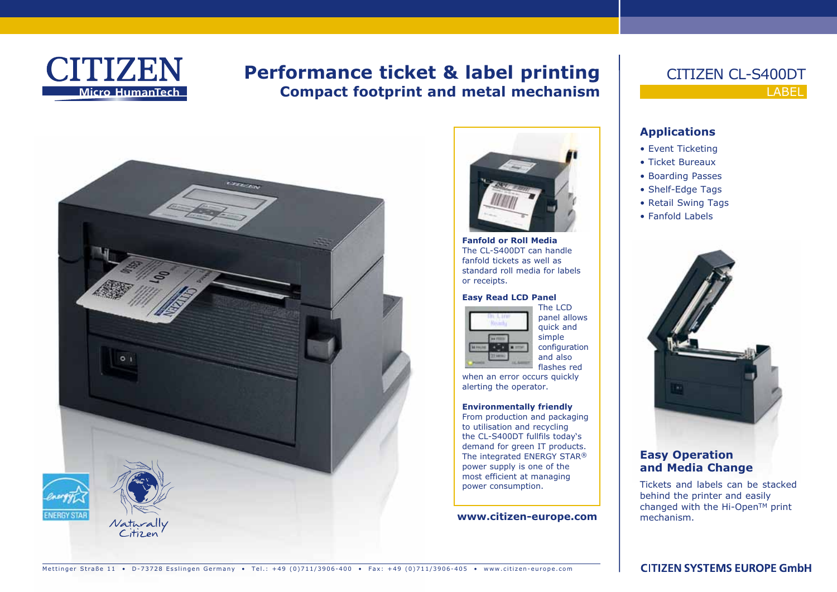

# **Performance ticket & label printing Compact footprint and metal mechanism**





**Fanfold or Roll Media**  The CL-S400DT can handle fanfold tickets as well as standard roll media for labels or receipts.

#### **Easy Read LCD Panel**



panel allows quick and simple configuration and also flashes red

when an error occurs quickly alerting the operator.

#### **Environmentally friendly**

From production and packaging to utilisation and recycling the CL-S400DT fullfils today's demand for green IT products. The integrated ENERGY STAR® power supply is one of the most efficient at managing power consumption.

#### **www.citizen-europe.com**

## LABEL CITIZEN CL-S400DT

### **Applications**

- Event Ticketing
- Ticket Bureaux
- Boarding Passes
- Shelf-Edge Tags
- Retail Swing Tags
- Fanfold Labels



### **Easy Operation and Media Change**

Tickets and labels can be stacked behind the printer and easily changed with the Hi-Open™ print mechanism.